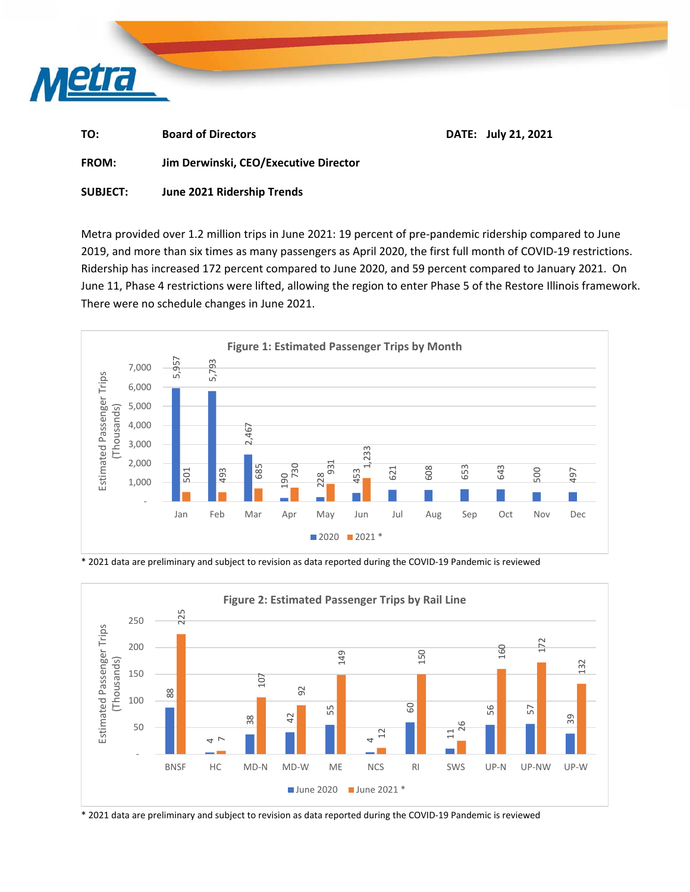

| TO:          | <b>Board of Directors</b>             | DATE: July 21, 2021 |
|--------------|---------------------------------------|---------------------|
| <b>FROM:</b> | Jim Derwinski, CEO/Executive Director |                     |

**SUBJECT: June 2021 Ridership Trends** 

Metra provided over 1.2 million trips in June 2021: 19 percent of pre‐pandemic ridership compared to June 2019, and more than six times as many passengers as April 2020, the first full month of COVID‐19 restrictions. Ridership has increased 172 percent compared to June 2020, and 59 percent compared to January 2021. On June 11, Phase 4 restrictions were lifted, allowing the region to enter Phase 5 of the Restore Illinois framework. There were no schedule changes in June 2021.



\* 2021 data are preliminary and subject to revision as data reported during the COVID‐19 Pandemic is reviewed

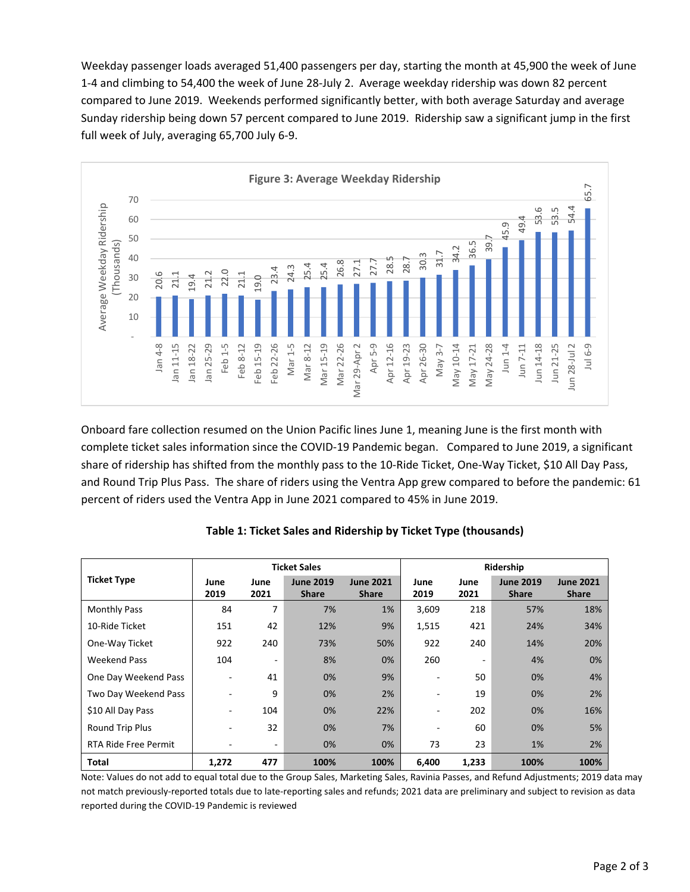Weekday passenger loads averaged 51,400 passengers per day, starting the month at 45,900 the week of June 1‐4 and climbing to 54,400 the week of June 28‐July 2. Average weekday ridership was down 82 percent compared to June 2019. Weekends performed significantly better, with both average Saturday and average Sunday ridership being down 57 percent compared to June 2019. Ridership saw a significant jump in the first full week of July, averaging 65,700 July 6‐9.



Onboard fare collection resumed on the Union Pacific lines June 1, meaning June is the first month with complete ticket sales information since the COVID‐19 Pandemic began. Compared to June 2019, a significant share of ridership has shifted from the monthly pass to the 10‐Ride Ticket, One‐Way Ticket, \$10 All Day Pass, and Round Trip Plus Pass. The share of riders using the Ventra App grew compared to before the pandemic: 61 percent of riders used the Ventra App in June 2021 compared to 45% in June 2019.

| Average Week<br>(Thous<br>30<br>20.6<br>$\frac{1}{21}$ $\frac{4}{9}$<br>20<br>10                                                                                                                                                                                                                                                                                                                                                                                                                                           | 22.0<br>$\frac{1}{21}$            | 23.4<br>19.0<br>$\overline{21}$    | 24.3<br>25.4<br>26.<br>25.4                              | 27.<br>$\frac{8}{2}$<br>27                                     | $\frac{8}{2}$<br>S                |                                      |                                    |                                      |
|----------------------------------------------------------------------------------------------------------------------------------------------------------------------------------------------------------------------------------------------------------------------------------------------------------------------------------------------------------------------------------------------------------------------------------------------------------------------------------------------------------------------------|-----------------------------------|------------------------------------|----------------------------------------------------------|----------------------------------------------------------------|-----------------------------------|--------------------------------------|------------------------------------|--------------------------------------|
| an 11-15<br>Jan $4-8$                                                                                                                                                                                                                                                                                                                                                                                                                                                                                                      | Feb 1-5<br>lan 25-29<br>lan 18-22 | Feb 22-26<br>Feb 15-19<br>Feb 8-12 | Mar 22-26<br>Mar <sub>1-5</sub><br>Mar 15-19<br>Mar 8-12 | Apr 12-16<br>Apr 5-9<br>Vlar 29-Apr                            | Apr 26-30<br>Apr 19-23<br>May 3-7 | May 24-28<br>May 10-14<br>Vlay 17-21 | Jun 14-18<br>Jun $1-4$<br>Jun 7-11 | Jun 21-25<br>Jun 28-Jul 2<br>Jul 6-9 |
| Onboard fare collection resumed on the Union Pacific lines June 1, meaning June is the first month with<br>complete ticket sales information since the COVID-19 Pandemic began. Compared to June 2019, a signif<br>share of ridership has shifted from the monthly pass to the 10-Ride Ticket, One-Way Ticket, \$10 All Day P<br>and Round Trip Plus Pass. The share of riders using the Ventra App grew compared to before the pander<br>percent of riders used the Ventra App in June 2021 compared to 45% in June 2019. |                                   |                                    |                                                          |                                                                |                                   |                                      |                                    |                                      |
|                                                                                                                                                                                                                                                                                                                                                                                                                                                                                                                            |                                   |                                    |                                                          | Table 1: Ticket Sales and Ridership by Ticket Type (thousands) |                                   |                                      |                                    |                                      |
|                                                                                                                                                                                                                                                                                                                                                                                                                                                                                                                            |                                   |                                    | <b>Ticket Sales</b>                                      |                                                                |                                   |                                      | Ridership                          |                                      |
| <b>Ticket Type</b>                                                                                                                                                                                                                                                                                                                                                                                                                                                                                                         | June<br>2019                      | June<br>2021                       | <b>June 2019</b><br><b>Share</b>                         | <b>June 2021</b><br><b>Share</b>                               | June<br>2019                      | June<br>2021                         | <b>June 2019</b><br><b>Share</b>   | <b>June 2021</b><br><b>Share</b>     |
| <b>Monthly Pass</b>                                                                                                                                                                                                                                                                                                                                                                                                                                                                                                        | 84                                | 7                                  | 7%                                                       | 1%                                                             | 3,609                             | 218                                  | 57%                                | 18%                                  |
| 10-Ride Ticket                                                                                                                                                                                                                                                                                                                                                                                                                                                                                                             | 151                               | 42                                 | 12%                                                      | 9%                                                             | 1,515                             | 421                                  | 24%                                | 34%                                  |
| One-Way Ticket                                                                                                                                                                                                                                                                                                                                                                                                                                                                                                             | 922                               | 240                                | 73%                                                      | 50%                                                            | 922                               | 240                                  | 14%                                | 20%                                  |
| <b>Weekend Pass</b>                                                                                                                                                                                                                                                                                                                                                                                                                                                                                                        | 104                               |                                    | 8%                                                       | 0%                                                             | 260                               |                                      | 4%                                 | 0%                                   |
| One Day Weekend Pass                                                                                                                                                                                                                                                                                                                                                                                                                                                                                                       |                                   | 41                                 | 0%                                                       | 9%                                                             |                                   | 50                                   | 0%                                 | 4%                                   |
| Two Day Weekend Pass                                                                                                                                                                                                                                                                                                                                                                                                                                                                                                       |                                   | 9                                  | 0%                                                       | 2%                                                             |                                   | 19                                   | 0%                                 | 2%                                   |
| \$10 All Day Pass                                                                                                                                                                                                                                                                                                                                                                                                                                                                                                          |                                   | 104                                | 0%                                                       | 22%                                                            |                                   | 202                                  | 0%                                 | 16%                                  |
| Round Trip Plus                                                                                                                                                                                                                                                                                                                                                                                                                                                                                                            |                                   | 32                                 | 0%                                                       | 7%                                                             |                                   | 60                                   | 0%                                 | 5%                                   |
| RTA Ride Free Permit                                                                                                                                                                                                                                                                                                                                                                                                                                                                                                       |                                   |                                    | 0%                                                       | 0%                                                             | 73                                | 23                                   | 1%                                 | 2%                                   |
| Total                                                                                                                                                                                                                                                                                                                                                                                                                                                                                                                      | 1,272                             | 477                                | 100%                                                     | 100%                                                           | 6,400                             | 1,233                                | 100%                               | 100%                                 |

## **Table 1: Ticket Sales and Ridership by Ticket Type (thousands)**

Note: Values do not add to equal total due to the Group Sales, Marketing Sales, Ravinia Passes, and Refund Adjustments; 2019 data may not match previously‐reported totals due to late‐reporting sales and refunds; 2021 data are preliminary and subject to revision as data